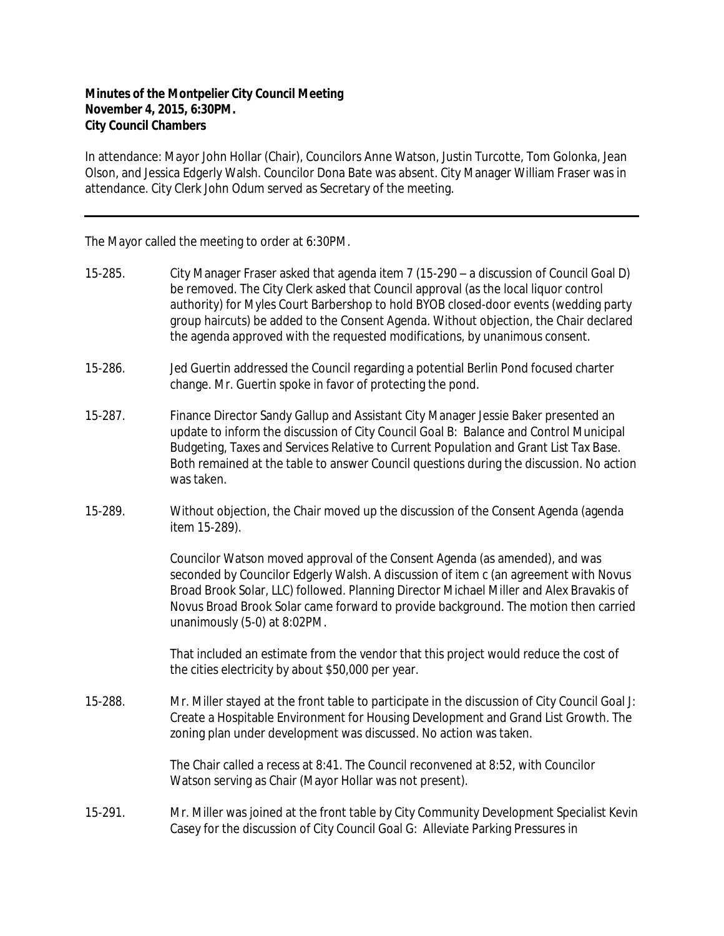## **Minutes of the Montpelier City Council Meeting November 4, 2015, 6:30PM. City Council Chambers**

In attendance: Mayor John Hollar (Chair), Councilors Anne Watson, Justin Turcotte, Tom Golonka, Jean Olson, and Jessica Edgerly Walsh. Councilor Dona Bate was absent. City Manager William Fraser was in attendance. City Clerk John Odum served as Secretary of the meeting.

The Mayor called the meeting to order at 6:30PM.

- 15-285. City Manager Fraser asked that agenda item 7 (15-290 a discussion of Council Goal D) be removed. The City Clerk asked that Council approval (as the local liquor control authority) for Myles Court Barbershop to hold BYOB closed-door events (wedding party group haircuts) be added to the Consent Agenda. Without objection, the Chair declared the agenda approved with the requested modifications, by unanimous consent.
- 15-286. Jed Guertin addressed the Council regarding a potential Berlin Pond focused charter change. Mr. Guertin spoke in favor of protecting the pond.
- 15-287. Finance Director Sandy Gallup and Assistant City Manager Jessie Baker presented an update to inform the discussion of City Council Goal B: Balance and Control Municipal Budgeting, Taxes and Services Relative to Current Population and Grant List Tax Base. Both remained at the table to answer Council questions during the discussion. No action was taken.
- 15-289. Without objection, the Chair moved up the discussion of the Consent Agenda (agenda item 15-289).

Councilor Watson moved approval of the Consent Agenda (as amended), and was seconded by Councilor Edgerly Walsh. A discussion of item c (an agreement with Novus Broad Brook Solar, LLC) followed. Planning Director Michael Miller and Alex Bravakis of Novus Broad Brook Solar came forward to provide background. The motion then carried unanimously (5-0) at 8:02PM.

That included an estimate from the vendor that this project would reduce the cost of the cities electricity by about \$50,000 per year.

15-288. Mr. Miller stayed at the front table to participate in the discussion of City Council Goal J: Create a Hospitable Environment for Housing Development and Grand List Growth. The zoning plan under development was discussed. No action was taken.

> The Chair called a recess at 8:41. The Council reconvened at 8:52, with Councilor Watson serving as Chair (Mayor Hollar was not present).

15-291. Mr. Miller was joined at the front table by City Community Development Specialist Kevin Casey for the discussion of City Council Goal G: Alleviate Parking Pressures in